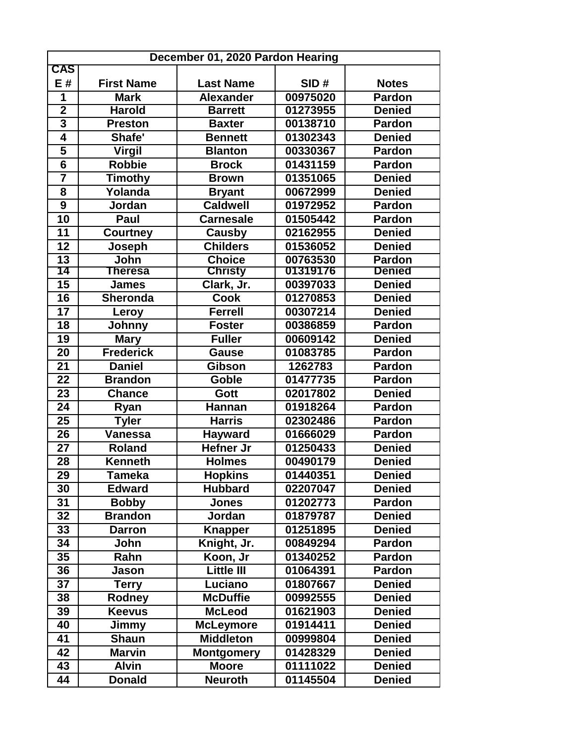| December 01, 2020 Pardon Hearing |                   |                   |          |               |  |  |  |
|----------------------------------|-------------------|-------------------|----------|---------------|--|--|--|
| <b>CAS</b>                       |                   |                   |          |               |  |  |  |
| E#                               | <b>First Name</b> | <b>Last Name</b>  | SID#     | <b>Notes</b>  |  |  |  |
| 1                                | <b>Mark</b>       | <b>Alexander</b>  | 00975020 | <b>Pardon</b> |  |  |  |
| $\overline{\mathbf{2}}$          | <b>Harold</b>     | <b>Barrett</b>    | 01273955 | <b>Denied</b> |  |  |  |
| $\overline{\mathbf{3}}$          | <b>Preston</b>    | <b>Baxter</b>     | 00138710 | <b>Pardon</b> |  |  |  |
| $\overline{\mathbf{4}}$          | Shafe'            | <b>Bennett</b>    | 01302343 | <b>Denied</b> |  |  |  |
| 5                                | <b>Virgil</b>     | <b>Blanton</b>    | 00330367 | <b>Pardon</b> |  |  |  |
| $6\phantom{1}6$                  | <b>Robbie</b>     | <b>Brock</b>      | 01431159 | <b>Pardon</b> |  |  |  |
| $\overline{\mathbf{7}}$          | <b>Timothy</b>    | <b>Brown</b>      | 01351065 | <b>Denied</b> |  |  |  |
| 8                                | Yolanda           | <b>Bryant</b>     | 00672999 | <b>Denied</b> |  |  |  |
| 9                                | Jordan            | <b>Caldwell</b>   | 01972952 | <b>Pardon</b> |  |  |  |
| 10                               | Paul              | <b>Carnesale</b>  | 01505442 | <b>Pardon</b> |  |  |  |
| 11                               | <b>Courtney</b>   | Causby            | 02162955 | <b>Denied</b> |  |  |  |
| 12                               | Joseph            | <b>Childers</b>   | 01536052 | <b>Denied</b> |  |  |  |
| 13                               | John              | <b>Choice</b>     | 00763530 | <b>Pardon</b> |  |  |  |
| 14                               | <b>Theresa</b>    | <b>Christy</b>    | 01319176 | <b>Denied</b> |  |  |  |
| 15                               | <b>James</b>      | Clark, Jr.        | 00397033 | <b>Denied</b> |  |  |  |
| 16                               | <b>Sheronda</b>   | <b>Cook</b>       | 01270853 | <b>Denied</b> |  |  |  |
| 17                               | Leroy             | <b>Ferrell</b>    | 00307214 | <b>Denied</b> |  |  |  |
| 18                               | Johnny            | <b>Foster</b>     | 00386859 | <b>Pardon</b> |  |  |  |
| 19                               | <b>Mary</b>       | <b>Fuller</b>     | 00609142 | <b>Denied</b> |  |  |  |
| 20                               | <b>Frederick</b>  | <b>Gause</b>      | 01083785 | Pardon        |  |  |  |
| 21                               | <b>Daniel</b>     | <b>Gibson</b>     | 1262783  | <b>Pardon</b> |  |  |  |
| 22                               | <b>Brandon</b>    | Goble             | 01477735 | <b>Pardon</b> |  |  |  |
| 23                               | <b>Chance</b>     | Gott              | 02017802 | <b>Denied</b> |  |  |  |
| 24                               | Ryan              | <b>Hannan</b>     | 01918264 | <b>Pardon</b> |  |  |  |
| $\overline{25}$                  | <b>Tyler</b>      | <b>Harris</b>     | 02302486 | <b>Pardon</b> |  |  |  |
| 26                               | <b>Vanessa</b>    | <b>Hayward</b>    | 01666029 | <b>Pardon</b> |  |  |  |
| 27                               | <b>Roland</b>     | <b>Hefner Jr</b>  | 01250433 | <b>Denied</b> |  |  |  |
| 28                               | <b>Kenneth</b>    | <b>Holmes</b>     | 00490179 | <b>Denied</b> |  |  |  |
| 29                               | Tameka            | <b>Hopkins</b>    | 01440351 | <b>Denied</b> |  |  |  |
| 30                               | <b>Edward</b>     | <b>Hubbard</b>    | 02207047 | <b>Denied</b> |  |  |  |
| 31                               | <b>Bobby</b>      | <b>Jones</b>      | 01202773 | <b>Pardon</b> |  |  |  |
| 32                               | <b>Brandon</b>    | Jordan            | 01879787 | <b>Denied</b> |  |  |  |
| 33                               | <b>Darron</b>     | <b>Knapper</b>    | 01251895 | <b>Denied</b> |  |  |  |
| 34                               | John              | Knight, Jr.       | 00849294 | Pardon        |  |  |  |
| 35                               | Rahn              | Koon, Jr          | 01340252 | <b>Pardon</b> |  |  |  |
| 36                               | Jason             | <b>Little III</b> | 01064391 | <b>Pardon</b> |  |  |  |
| 37                               | <b>Terry</b>      | Luciano           | 01807667 | <b>Denied</b> |  |  |  |
| 38                               | Rodney            | <b>McDuffie</b>   | 00992555 | <b>Denied</b> |  |  |  |
| 39                               | <b>Keevus</b>     | <b>McLeod</b>     | 01621903 | <b>Denied</b> |  |  |  |
| 40                               | Jimmy             | <b>McLeymore</b>  | 01914411 | <b>Denied</b> |  |  |  |
| 41                               | <b>Shaun</b>      | <b>Middleton</b>  | 00999804 | <b>Denied</b> |  |  |  |
| 42                               | <b>Marvin</b>     | <b>Montgomery</b> | 01428329 | <b>Denied</b> |  |  |  |
| 43                               | <b>Alvin</b>      | <b>Moore</b>      | 01111022 | <b>Denied</b> |  |  |  |
| 44                               | <b>Donald</b>     | <b>Neuroth</b>    | 01145504 | <b>Denied</b> |  |  |  |